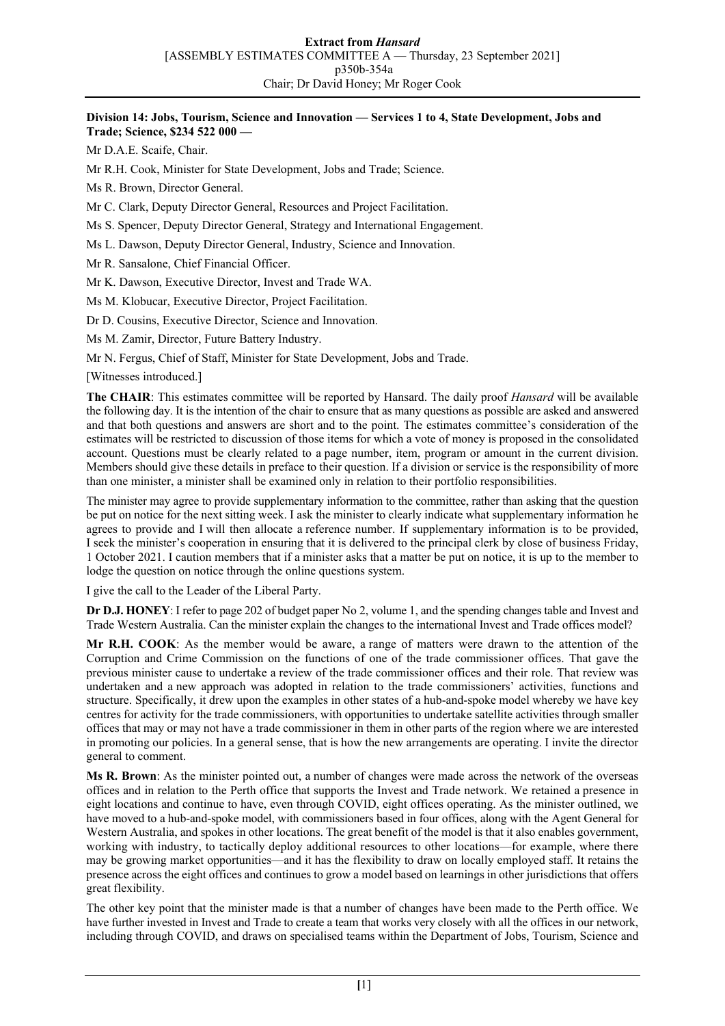#### **Division 14: Jobs, Tourism, Science and Innovation — Services 1 to 4, State Development, Jobs and Trade; Science, \$234 522 000 —**

Mr D.A.E. Scaife, Chair.

Mr R.H. Cook, Minister for State Development, Jobs and Trade; Science.

Ms R. Brown, Director General.

Mr C. Clark, Deputy Director General, Resources and Project Facilitation.

Ms S. Spencer, Deputy Director General, Strategy and International Engagement.

Ms L. Dawson, Deputy Director General, Industry, Science and Innovation.

Mr R. Sansalone, Chief Financial Officer.

Mr K. Dawson, Executive Director, Invest and Trade WA.

Ms M. Klobucar, Executive Director, Project Facilitation.

Dr D. Cousins, Executive Director, Science and Innovation.

Ms M. Zamir, Director, Future Battery Industry.

Mr N. Fergus, Chief of Staff, Minister for State Development, Jobs and Trade.

[Witnesses introduced.]

**The CHAIR**: This estimates committee will be reported by Hansard. The daily proof *Hansard* will be available the following day. It is the intention of the chair to ensure that as many questions as possible are asked and answered and that both questions and answers are short and to the point. The estimates committee's consideration of the estimates will be restricted to discussion of those items for which a vote of money is proposed in the consolidated account. Questions must be clearly related to a page number, item, program or amount in the current division. Members should give these details in preface to their question. If a division or service is the responsibility of more than one minister, a minister shall be examined only in relation to their portfolio responsibilities.

The minister may agree to provide supplementary information to the committee, rather than asking that the question be put on notice for the next sitting week. I ask the minister to clearly indicate what supplementary information he agrees to provide and I will then allocate a reference number. If supplementary information is to be provided, I seek the minister's cooperation in ensuring that it is delivered to the principal clerk by close of business Friday, 1 October 2021. I caution members that if a minister asks that a matter be put on notice, it is up to the member to lodge the question on notice through the online questions system.

I give the call to the Leader of the Liberal Party.

**Dr D.J. HONEY**: I refer to page 202 of budget paper No 2, volume 1, and the spending changes table and Invest and Trade Western Australia. Can the minister explain the changes to the international Invest and Trade offices model?

**Mr R.H. COOK**: As the member would be aware, a range of matters were drawn to the attention of the Corruption and Crime Commission on the functions of one of the trade commissioner offices. That gave the previous minister cause to undertake a review of the trade commissioner offices and their role. That review was undertaken and a new approach was adopted in relation to the trade commissioners' activities, functions and structure. Specifically, it drew upon the examples in other states of a hub-and-spoke model whereby we have key centres for activity for the trade commissioners, with opportunities to undertake satellite activities through smaller offices that may or may not have a trade commissioner in them in other parts of the region where we are interested in promoting our policies. In a general sense, that is how the new arrangements are operating. I invite the director general to comment.

**Ms R. Brown**: As the minister pointed out, a number of changes were made across the network of the overseas offices and in relation to the Perth office that supports the Invest and Trade network. We retained a presence in eight locations and continue to have, even through COVID, eight offices operating. As the minister outlined, we have moved to a hub-and-spoke model, with commissioners based in four offices, along with the Agent General for Western Australia, and spokes in other locations. The great benefit of the model is that it also enables government, working with industry, to tactically deploy additional resources to other locations—for example, where there may be growing market opportunities—and it has the flexibility to draw on locally employed staff. It retains the presence across the eight offices and continues to grow a model based on learnings in other jurisdictions that offers great flexibility.

The other key point that the minister made is that a number of changes have been made to the Perth office. We have further invested in Invest and Trade to create a team that works very closely with all the offices in our network, including through COVID, and draws on specialised teams within the Department of Jobs, Tourism, Science and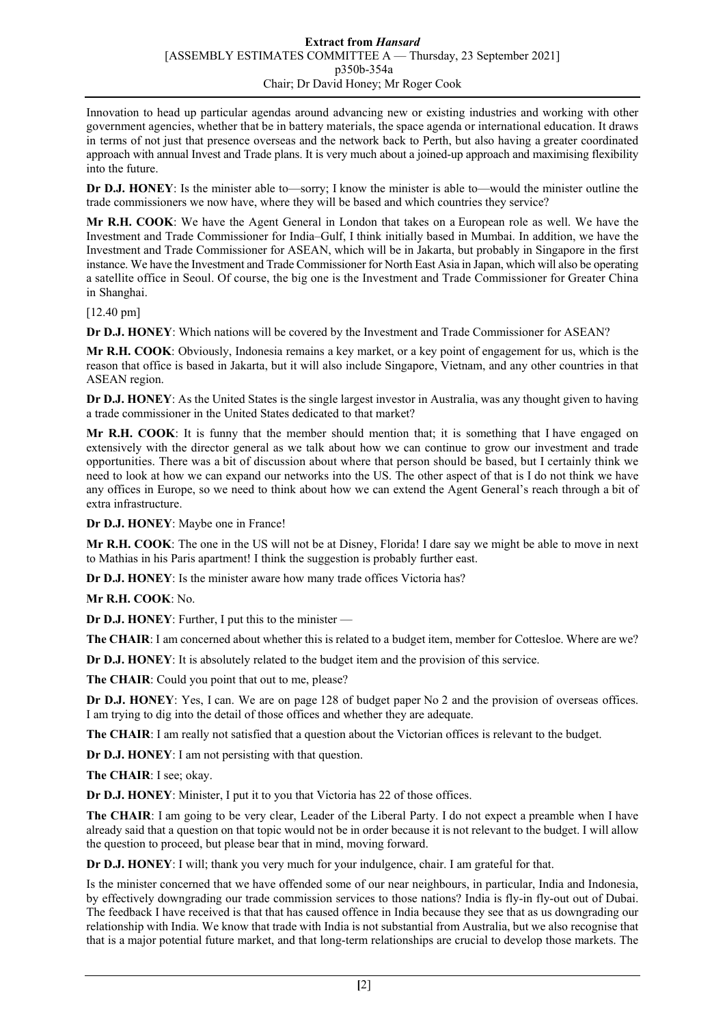Innovation to head up particular agendas around advancing new or existing industries and working with other government agencies, whether that be in battery materials, the space agenda or international education. It draws in terms of not just that presence overseas and the network back to Perth, but also having a greater coordinated approach with annual Invest and Trade plans. It is very much about a joined-up approach and maximising flexibility into the future.

**Dr D.J. HONEY**: Is the minister able to—sorry; I know the minister is able to—would the minister outline the trade commissioners we now have, where they will be based and which countries they service?

**Mr R.H. COOK**: We have the Agent General in London that takes on a European role as well. We have the Investment and Trade Commissioner for India–Gulf, I think initially based in Mumbai. In addition, we have the Investment and Trade Commissioner for ASEAN, which will be in Jakarta, but probably in Singapore in the first instance. We have the Investment and Trade Commissioner for North East Asia in Japan, which will also be operating a satellite office in Seoul. Of course, the big one is the Investment and Trade Commissioner for Greater China in Shanghai.

# [12.40 pm]

**Dr D.J. HONEY**: Which nations will be covered by the Investment and Trade Commissioner for ASEAN?

**Mr R.H. COOK**: Obviously, Indonesia remains a key market, or a key point of engagement for us, which is the reason that office is based in Jakarta, but it will also include Singapore, Vietnam, and any other countries in that ASEAN region.

**Dr D.J. HONEY**: As the United States is the single largest investor in Australia, was any thought given to having a trade commissioner in the United States dedicated to that market?

**Mr R.H. COOK**: It is funny that the member should mention that; it is something that I have engaged on extensively with the director general as we talk about how we can continue to grow our investment and trade opportunities. There was a bit of discussion about where that person should be based, but I certainly think we need to look at how we can expand our networks into the US. The other aspect of that is I do not think we have any offices in Europe, so we need to think about how we can extend the Agent General's reach through a bit of extra infrastructure.

**Dr D.J. HONEY**: Maybe one in France!

**Mr R.H. COOK**: The one in the US will not be at Disney, Florida! I dare say we might be able to move in next to Mathias in his Paris apartment! I think the suggestion is probably further east.

**Dr D.J. HONEY**: Is the minister aware how many trade offices Victoria has?

**Mr R.H. COOK**: No.

**Dr D.J. HONEY**: Further, I put this to the minister —

**The CHAIR**: I am concerned about whether this is related to a budget item, member for Cottesloe. Where are we?

**Dr D.J. HONEY**: It is absolutely related to the budget item and the provision of this service.

**The CHAIR**: Could you point that out to me, please?

**Dr D.J. HONEY**: Yes, I can. We are on page 128 of budget paper No 2 and the provision of overseas offices. I am trying to dig into the detail of those offices and whether they are adequate.

**The CHAIR**: I am really not satisfied that a question about the Victorian offices is relevant to the budget.

**Dr D.J. HONEY**: I am not persisting with that question.

**The CHAIR**: I see; okay.

**Dr D.J. HONEY**: Minister, I put it to you that Victoria has 22 of those offices.

**The CHAIR**: I am going to be very clear, Leader of the Liberal Party. I do not expect a preamble when I have already said that a question on that topic would not be in order because it is not relevant to the budget. I will allow the question to proceed, but please bear that in mind, moving forward.

**Dr D.J. HONEY**: I will; thank you very much for your indulgence, chair. I am grateful for that.

Is the minister concerned that we have offended some of our near neighbours, in particular, India and Indonesia, by effectively downgrading our trade commission services to those nations? India is fly-in fly-out out of Dubai. The feedback I have received is that that has caused offence in India because they see that as us downgrading our relationship with India. We know that trade with India is not substantial from Australia, but we also recognise that that is a major potential future market, and that long-term relationships are crucial to develop those markets. The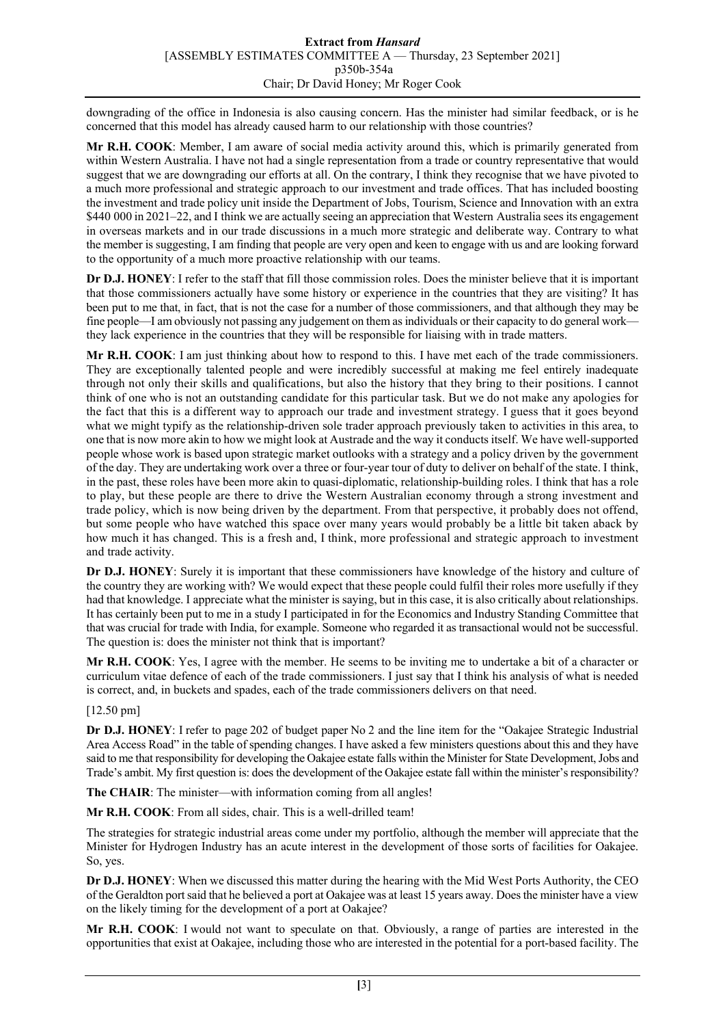downgrading of the office in Indonesia is also causing concern. Has the minister had similar feedback, or is he concerned that this model has already caused harm to our relationship with those countries?

**Mr R.H. COOK**: Member, I am aware of social media activity around this, which is primarily generated from within Western Australia. I have not had a single representation from a trade or country representative that would suggest that we are downgrading our efforts at all. On the contrary, I think they recognise that we have pivoted to a much more professional and strategic approach to our investment and trade offices. That has included boosting the investment and trade policy unit inside the Department of Jobs, Tourism, Science and Innovation with an extra \$440 000 in 2021–22, and I think we are actually seeing an appreciation that Western Australia sees its engagement in overseas markets and in our trade discussions in a much more strategic and deliberate way. Contrary to what the member is suggesting, I am finding that people are very open and keen to engage with us and are looking forward to the opportunity of a much more proactive relationship with our teams.

**Dr D.J. HONEY**: I refer to the staff that fill those commission roles. Does the minister believe that it is important that those commissioners actually have some history or experience in the countries that they are visiting? It has been put to me that, in fact, that is not the case for a number of those commissioners, and that although they may be fine people—I am obviously not passing any judgement on them as individuals or their capacity to do general work they lack experience in the countries that they will be responsible for liaising with in trade matters.

**Mr R.H. COOK**: I am just thinking about how to respond to this. I have met each of the trade commissioners. They are exceptionally talented people and were incredibly successful at making me feel entirely inadequate through not only their skills and qualifications, but also the history that they bring to their positions. I cannot think of one who is not an outstanding candidate for this particular task. But we do not make any apologies for the fact that this is a different way to approach our trade and investment strategy. I guess that it goes beyond what we might typify as the relationship-driven sole trader approach previously taken to activities in this area, to one that is now more akin to how we might look at Austrade and the way it conducts itself. We have well-supported people whose work is based upon strategic market outlooks with a strategy and a policy driven by the government of the day. They are undertaking work over a three or four-year tour of duty to deliver on behalf of the state. I think, in the past, these roles have been more akin to quasi-diplomatic, relationship-building roles. I think that has a role to play, but these people are there to drive the Western Australian economy through a strong investment and trade policy, which is now being driven by the department. From that perspective, it probably does not offend, but some people who have watched this space over many years would probably be a little bit taken aback by how much it has changed. This is a fresh and, I think, more professional and strategic approach to investment and trade activity.

**Dr D.J. HONEY**: Surely it is important that these commissioners have knowledge of the history and culture of the country they are working with? We would expect that these people could fulfil their roles more usefully if they had that knowledge. I appreciate what the minister is saying, but in this case, it is also critically about relationships. It has certainly been put to me in a study I participated in for the Economics and Industry Standing Committee that that was crucial for trade with India, for example. Someone who regarded it as transactional would not be successful. The question is: does the minister not think that is important?

**Mr R.H. COOK**: Yes, I agree with the member. He seems to be inviting me to undertake a bit of a character or curriculum vitae defence of each of the trade commissioners. I just say that I think his analysis of what is needed is correct, and, in buckets and spades, each of the trade commissioners delivers on that need.

# [12.50 pm]

**Dr D.J. HONEY**: I refer to page 202 of budget paper No 2 and the line item for the "Oakajee Strategic Industrial Area Access Road" in the table of spending changes. I have asked a few ministers questions about this and they have said to me that responsibility for developing the Oakajee estate falls within the Minister for State Development, Jobs and Trade's ambit. My first question is: does the development of the Oakajee estate fall within the minister's responsibility?

**The CHAIR**: The minister—with information coming from all angles!

**Mr R.H. COOK**: From all sides, chair. This is a well-drilled team!

The strategies for strategic industrial areas come under my portfolio, although the member will appreciate that the Minister for Hydrogen Industry has an acute interest in the development of those sorts of facilities for Oakajee. So, yes.

**Dr D.J. HONEY**: When we discussed this matter during the hearing with the Mid West Ports Authority, the CEO of the Geraldton port said that he believed a port at Oakajee was at least 15 years away. Does the minister have a view on the likely timing for the development of a port at Oakajee?

**Mr R.H. COOK**: I would not want to speculate on that. Obviously, a range of parties are interested in the opportunities that exist at Oakajee, including those who are interested in the potential for a port-based facility. The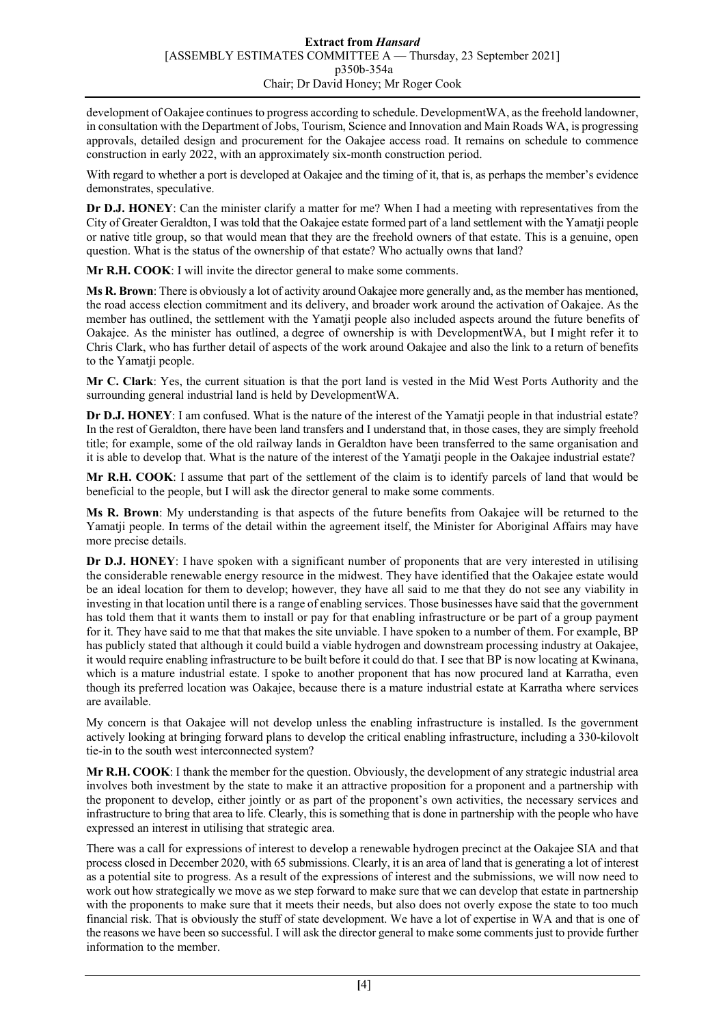development of Oakajee continues to progress according to schedule. DevelopmentWA, as the freehold landowner, in consultation with the Department of Jobs, Tourism, Science and Innovation and Main Roads WA, is progressing approvals, detailed design and procurement for the Oakajee access road. It remains on schedule to commence construction in early 2022, with an approximately six-month construction period.

With regard to whether a port is developed at Oakajee and the timing of it, that is, as perhaps the member's evidence demonstrates, speculative.

**Dr D.J. HONEY**: Can the minister clarify a matter for me? When I had a meeting with representatives from the City of Greater Geraldton, I was told that the Oakajee estate formed part of a land settlement with the Yamatji people or native title group, so that would mean that they are the freehold owners of that estate. This is a genuine, open question. What is the status of the ownership of that estate? Who actually owns that land?

**Mr R.H. COOK**: I will invite the director general to make some comments.

**Ms R. Brown**: There is obviously a lot of activity around Oakajee more generally and, as the member has mentioned, the road access election commitment and its delivery, and broader work around the activation of Oakajee. As the member has outlined, the settlement with the Yamatji people also included aspects around the future benefits of Oakajee. As the minister has outlined, a degree of ownership is with DevelopmentWA, but I might refer it to Chris Clark, who has further detail of aspects of the work around Oakajee and also the link to a return of benefits to the Yamatji people.

**Mr C. Clark**: Yes, the current situation is that the port land is vested in the Mid West Ports Authority and the surrounding general industrial land is held by DevelopmentWA.

**Dr D.J. HONEY**: I am confused. What is the nature of the interest of the Yamatji people in that industrial estate? In the rest of Geraldton, there have been land transfers and I understand that, in those cases, they are simply freehold title; for example, some of the old railway lands in Geraldton have been transferred to the same organisation and it is able to develop that. What is the nature of the interest of the Yamatji people in the Oakajee industrial estate?

**Mr R.H. COOK**: I assume that part of the settlement of the claim is to identify parcels of land that would be beneficial to the people, but I will ask the director general to make some comments.

**Ms R. Brown**: My understanding is that aspects of the future benefits from Oakajee will be returned to the Yamatji people. In terms of the detail within the agreement itself, the Minister for Aboriginal Affairs may have more precise details.

**Dr D.J. HONEY**: I have spoken with a significant number of proponents that are very interested in utilising the considerable renewable energy resource in the midwest. They have identified that the Oakajee estate would be an ideal location for them to develop; however, they have all said to me that they do not see any viability in investing in that location until there is a range of enabling services. Those businesses have said that the government has told them that it wants them to install or pay for that enabling infrastructure or be part of a group payment for it. They have said to me that that makes the site unviable. I have spoken to a number of them. For example, BP has publicly stated that although it could build a viable hydrogen and downstream processing industry at Oakajee, it would require enabling infrastructure to be built before it could do that. I see that BP is now locating at Kwinana, which is a mature industrial estate. I spoke to another proponent that has now procured land at Karratha, even though its preferred location was Oakajee, because there is a mature industrial estate at Karratha where services are available.

My concern is that Oakajee will not develop unless the enabling infrastructure is installed. Is the government actively looking at bringing forward plans to develop the critical enabling infrastructure, including a 330-kilovolt tie-in to the south west interconnected system?

**Mr R.H. COOK**: I thank the member for the question. Obviously, the development of any strategic industrial area involves both investment by the state to make it an attractive proposition for a proponent and a partnership with the proponent to develop, either jointly or as part of the proponent's own activities, the necessary services and infrastructure to bring that area to life. Clearly, this is something that is done in partnership with the people who have expressed an interest in utilising that strategic area.

There was a call for expressions of interest to develop a renewable hydrogen precinct at the Oakajee SIA and that process closed in December 2020, with 65 submissions. Clearly, it is an area of land that is generating a lot of interest as a potential site to progress. As a result of the expressions of interest and the submissions, we will now need to work out how strategically we move as we step forward to make sure that we can develop that estate in partnership with the proponents to make sure that it meets their needs, but also does not overly expose the state to too much financial risk. That is obviously the stuff of state development. We have a lot of expertise in WA and that is one of the reasons we have been so successful. I will ask the director general to make some comments just to provide further information to the member.